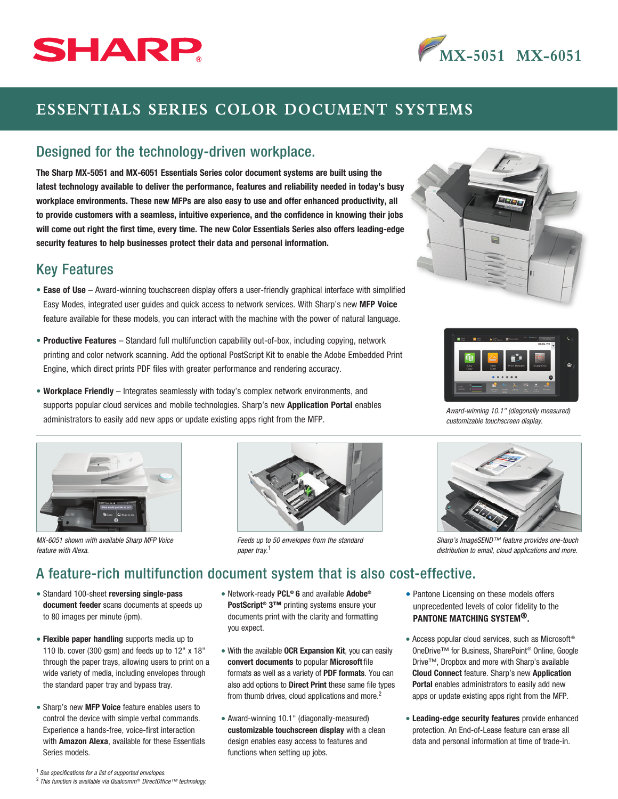# SHARP

# **MX-5051 MX-6051**

# **ESSENTIALS SERIES COLOR DOCUMENT SYSTEMS**

#### Designed for the technology-driven workplace.

The Sharp MX-5051 and MX-6051 Essentials Series color document systems are built using the latest technology available to deliver the performance, features and reliability needed in today's busy workplace environments. These new MFPs are also easy to use and offer enhanced productivity, all to provide customers with a seamless, intuitive experience, and the confidence in knowing their jobs will come out right the first time, every time. The new Color Essentials Series also offers leading-edge security features to help businesses protect their data and personal information.

#### Key Features

- Ease of Use Award-winning touchscreen display offers a user-friendly graphical interface with simplified Easy Modes, integrated user guides and quick access to network services. With Sharp's new MFP Voice feature available for these models, you can interact with the machine with the power of natural language.
- Productive Features Standard full multifunction capability out-of-box, including copying, network printing and color network scanning. Add the optional PostScript Kit to enable the Adobe Embedded Print Engine, which direct prints PDF files with greater performance and rendering accuracy.
- Workplace Friendly Integrates seamlessly with today's complex network environments, and supports popular cloud services and mobile technologies. Sharp's new **Application Portal** enables administrators to easily add new apps or update existing apps right from the MFP.



*MX-6051 shown with available Sharp MFP Voice feature with Alexa.*



*Feeds up to 50 envelopes from the standard paper tray.* <sup>1</sup>





*Award-winning 10.1" (diagonally measured) customizable touchscreen display.*



*Sharp's ImageSEND™ feature provides one-touch distribution to email, cloud applications and more.*

### A feature-rich multifunction document system that is also cost-effective.

- Standard 100-sheet reversing single-pass document feeder scans documents at speeds up to 80 images per minute (ipm).
- Flexible paper handling supports media up to 110 lb. cover (300 gsm) and feeds up to 12" x 18" through the paper trays, allowing users to print on a wide variety of media, including envelopes through the standard paper tray and bypass tray.
- Sharp's new MFP Voice feature enables users to control the device with simple verbal commands. Experience a hands-free, voice-first interaction with **Amazon Alexa**, available for these Essentials Series models.
- Network-ready PCL® 6 and available Adobe® PostScript<sup>®</sup> 3™ printing systems ensure your documents print with the clarity and formatting you expect.
- With the available OCR Expansion Kit, you can easily convert documents to popular Microsoft file formats as well as a variety of PDF formats. You can also add options to **Direct Print** these same file types from thumb drives, cloud applications and more.<sup>2</sup>
- Award-winning 10.1" (diagonally-measured) customizable touchscreen display with a clean design enables easy access to features and functions when setting up jobs.
- Pantone Licensing on these models offers unprecedented levels of color fidelity to the PANTONE MATCHING SYSTEM®.
- Access popular cloud services, such as Microsoft<sup>®</sup> OneDrive™ for Business, SharePoint® Online, Google Drive™, Dropbox and more with Sharp's available Cloud Connect feature. Sharp's new Application Portal enables administrators to easily add new apps or update existing apps right from the MFP.
- Leading-edge security features provide enhanced protection. An End-of-Lease feature can erase all data and personal information at time of trade-in.

<sup>1</sup>  *See specifications for a list of supported envelopes.* 

<sup>&</sup>lt;sup>2</sup> This function is available via Qualcomm<sup>®</sup> DirectOffice™ technology.